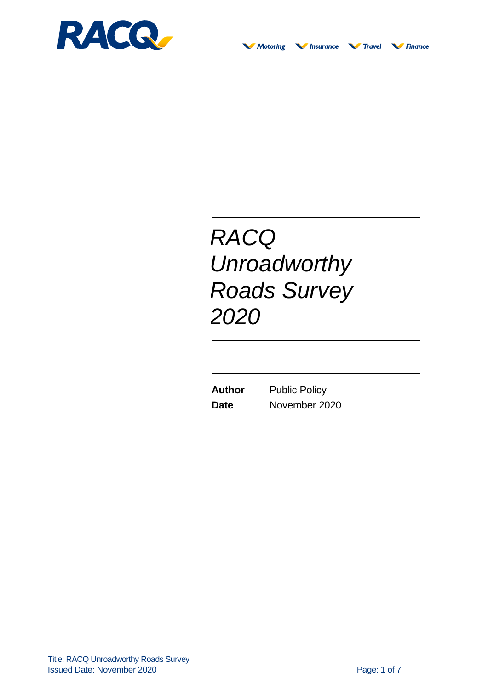

# *RACQ Unroadworthy Roads Survey 2020*

**Author** Public Policy **Date** November 2020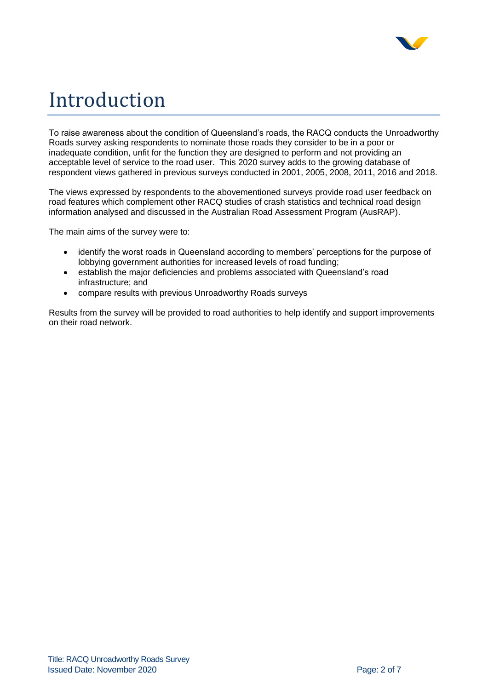

## Introduction

To raise awareness about the condition of Queensland's roads, the RACQ conducts the Unroadworthy Roads survey asking respondents to nominate those roads they consider to be in a poor or inadequate condition, unfit for the function they are designed to perform and not providing an acceptable level of service to the road user. This 2020 survey adds to the growing database of respondent views gathered in previous surveys conducted in 2001, 2005, 2008, 2011, 2016 and 2018.

The views expressed by respondents to the abovementioned surveys provide road user feedback on road features which complement other RACQ studies of crash statistics and technical road design information analysed and discussed in the Australian Road Assessment Program (AusRAP).

The main aims of the survey were to:

- identify the worst roads in Queensland according to members' perceptions for the purpose of lobbying government authorities for increased levels of road funding;
- establish the major deficiencies and problems associated with Queensland's road infrastructure; and
- compare results with previous Unroadworthy Roads surveys

Results from the survey will be provided to road authorities to help identify and support improvements on their road network.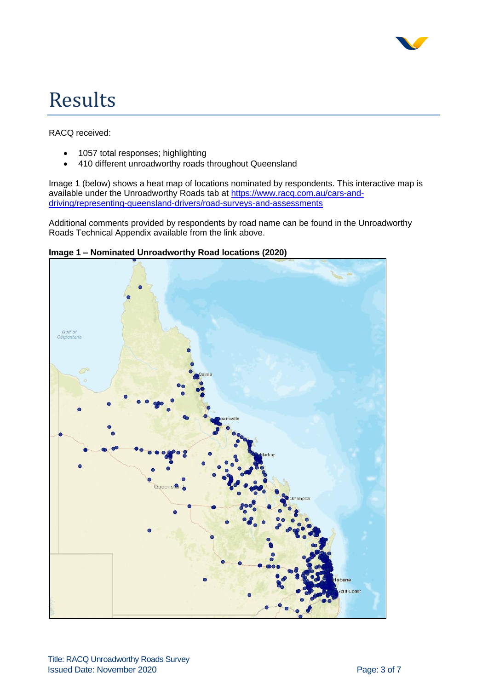

## Results

RACQ received:

- 1057 total responses; highlighting
- 410 different unroadworthy roads throughout Queensland

Image 1 (below) shows a heat map of locations nominated by respondents. This interactive map is available under the Unroadworthy Roads tab at [https://www.racq.com.au/cars-and](https://www.racq.com.au/cars-and-driving/representing-queensland-drivers/road-surveys-and-assessments)[driving/representing-queensland-drivers/road-surveys-and-assessments](https://www.racq.com.au/cars-and-driving/representing-queensland-drivers/road-surveys-and-assessments)

Additional comments provided by respondents by road name can be found in the Unroadworthy Roads Technical Appendix available from the link above.



**Image 1 – Nominated Unroadworthy Road locations (2020)**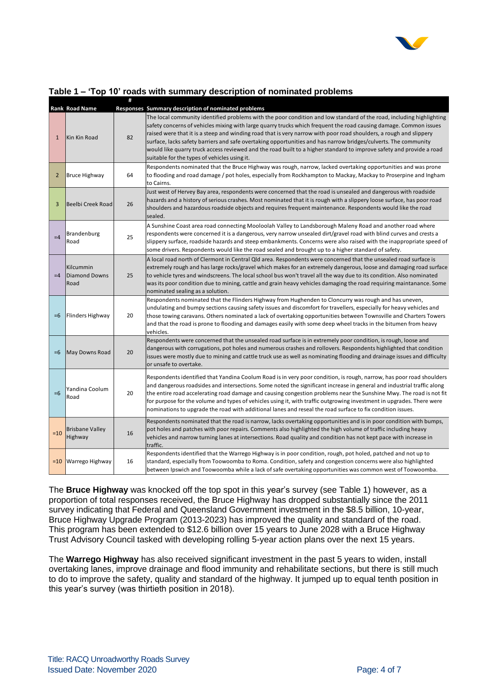

|              | <b>Rank Road Name</b>              |    | Responses Summary description of nominated problems                                                                                                                                                                                                                                                                                                                                                                                                                                                                                                                                                                                                        |
|--------------|------------------------------------|----|------------------------------------------------------------------------------------------------------------------------------------------------------------------------------------------------------------------------------------------------------------------------------------------------------------------------------------------------------------------------------------------------------------------------------------------------------------------------------------------------------------------------------------------------------------------------------------------------------------------------------------------------------------|
| $\mathbf{1}$ | Kin Kin Road                       | 82 | The local community identified problems with the poor condition and low standard of the road, including highlighting<br>safety concerns of vehicles mixing with large quarry trucks which frequent the road causing damage. Common issues<br>raised were that it is a steep and winding road that is very narrow with poor road shoulders, a rough and slippery<br>surface, lacks safety barriers and safe overtaking opportunities and has narrow bridges/culverts. The community<br>would like quarry truck access reviewed and the road built to a higher standard to improve safety and provide a road<br>suitable for the types of vehicles using it. |
| 2            | <b>Bruce Highway</b>               | 64 | Respondents nominated that the Bruce Highway was rough, narrow, lacked overtaking opportunities and was prone<br>to flooding and road damage / pot holes, especially from Rockhampton to Mackay, Mackay to Proserpine and Ingham<br>to Cairns.                                                                                                                                                                                                                                                                                                                                                                                                             |
| 3            | <b>Beelbi Creek Road</b>           | 26 | Just west of Hervey Bay area, respondents were concerned that the road is unsealed and dangerous with roadside<br>hazards and a history of serious crashes. Most nominated that it is rough with a slippery loose surface, has poor road<br>shoulders and hazardous roadside objects and requires frequent maintenance. Respondents would like the road<br>sealed.                                                                                                                                                                                                                                                                                         |
| $=4$         | Brandenburg<br>Road                | 25 | A Sunshine Coast area road connecting Mooloolah Valley to Landsborough Maleny Road and another road where<br>respondents were concerned it is a dangerous, very narrow unsealed dirt/gravel road with blind curves and crests a<br>slippery surface, roadside hazards and steep embankments. Concerns were also raised with the inappropriate speed of<br>some drivers. Respondents would like the road sealed and brought up to a higher standard of safety.                                                                                                                                                                                              |
| $=4$         | Kilcummin<br>Diamond Downs<br>Road | 25 | A local road north of Clermont in Central Qld area. Respondents were concerned that the unsealed road surface is<br>extremely rough and has large rocks/gravel which makes for an extremely dangerous, loose and damaging road surface<br>to vehicle tyres and windscreens. The local school bus won't travel all the way due to its condition. Also nominated<br>was its poor condition due to mining, cattle and grain heavy vehicles damaging the road requiring maintanance. Some<br>nominated sealing as a solution.                                                                                                                                  |
| $=6$         | Flinders Highway                   | 20 | Respondents nominated that the Flinders Highway from Hughenden to Cloncurry was rough and has uneven,<br>undulating and bumpy sections causing safety issues and discomfort for travellers, especially for heavy vehicles and<br>those towing caravans. Others nominated a lack of overtaking opportunities between Townsville and Charters Towers<br>and that the road is prone to flooding and damages easily with some deep wheel tracks in the bitumen from heavy<br>vehicles.                                                                                                                                                                         |
| $=6$         | May Downs Road                     | 20 | Respondents were concerned that the unsealed road surface is in extremely poor condition, is rough, loose and<br>dangerous with corrugations, pot holes and numerous crashes and rollovers. Respondents highlighted that condition<br>issues were mostly due to mining and cattle truck use as well as nominating flooding and drainage issues and difficulty<br>or unsafe to overtake.                                                                                                                                                                                                                                                                    |
| $=6$         | Yandina Coolum<br>Road             | 20 | Respondents identified that Yandina Coolum Road is in very poor condition, is rough, narrow, has poor road shoulders<br>and dangerous roadsides and intersections. Some noted the significant increase in general and industrial traffic along<br>the entire road accelerating road damage and causing congestion problems near the Sunshine Mwy. The road is not fit<br>for purpose for the volume and types of vehicles using it, with traffic outgrowing investment in upgrades. There were<br>nominations to upgrade the road with additional lanes and reseal the road surface to fix condition issues.                                               |
| $=10$        | <b>Brisbane Valley</b><br>Highway  | 16 | Respondents nominated that the road is narrow, lacks overtaking opportunities and is in poor condition with bumps,<br>pot holes and patches with poor repairs. Comments also highlighted the high volume of traffic including heavy<br>vehicles and narrow turning lanes at intersections. Road quality and condition has not kept pace with increase in<br>traffic.                                                                                                                                                                                                                                                                                       |
| $=10$        | <b>Warrego Highway</b>             | 16 | Respondents identified that the Warrego Highway is in poor condition, rough, pot holed, patched and not up to<br>standard, especially from Toowoomba to Roma. Condition, safety and congestion concerns were also highlighted<br>between Ipswich and Toowoomba while a lack of safe overtaking opportunities was common west of Toowoomba.                                                                                                                                                                                                                                                                                                                 |

## **Table 1 – 'Top 10' roads with summary description of nominated problems**

**#** 

The **Bruce Highway** was knocked off the top spot in this year's survey (see Table 1) however, as a proportion of total responses received, the Bruce Highway has dropped substantially since the 2011 survey indicating that Federal and Queensland Government investment in the \$8.5 billion, 10-year, Bruce Highway Upgrade Program (2013-2023) has improved the quality and standard of the road. This program has been extended to \$12.6 billion over 15 years to June 2028 with a Bruce Highway Trust Advisory Council tasked with developing rolling 5-year action plans over the next 15 years.

The **Warrego Highway** has also received significant investment in the past 5 years to widen, install overtaking lanes, improve drainage and flood immunity and rehabilitate sections, but there is still much to do to improve the safety, quality and standard of the highway. It jumped up to equal tenth position in this year's survey (was thirtieth position in 2018).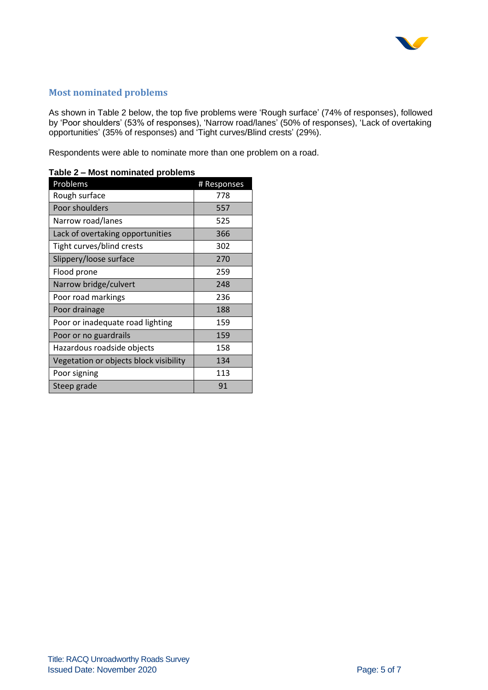

## **Most nominated problems**

As shown in Table 2 below, the top five problems were 'Rough surface' (74% of responses), followed by 'Poor shoulders' (53% of responses), 'Narrow road/lanes' (50% of responses), 'Lack of overtaking opportunities' (35% of responses) and 'Tight curves/Blind crests' (29%).

Respondents were able to nominate more than one problem on a road.

| Problems                               | # Responses |  |  |  |  |
|----------------------------------------|-------------|--|--|--|--|
| Rough surface                          | 778         |  |  |  |  |
| Poor shoulders                         | 557         |  |  |  |  |
| Narrow road/lanes                      | 525         |  |  |  |  |
| Lack of overtaking opportunities       | 366         |  |  |  |  |
| Tight curves/blind crests              | 302         |  |  |  |  |
| Slippery/loose surface                 | 270         |  |  |  |  |
| Flood prone                            | 259         |  |  |  |  |
| Narrow bridge/culvert                  | 248         |  |  |  |  |
| Poor road markings                     | 236         |  |  |  |  |
| Poor drainage                          | 188         |  |  |  |  |
| Poor or inadequate road lighting       | 159         |  |  |  |  |
| Poor or no guardrails                  | 159         |  |  |  |  |
| Hazardous roadside objects             | 158         |  |  |  |  |
| Vegetation or objects block visibility | 134         |  |  |  |  |
| Poor signing                           | 113         |  |  |  |  |
| Steep grade                            | 91          |  |  |  |  |

#### **Table 2 – Most nominated problems**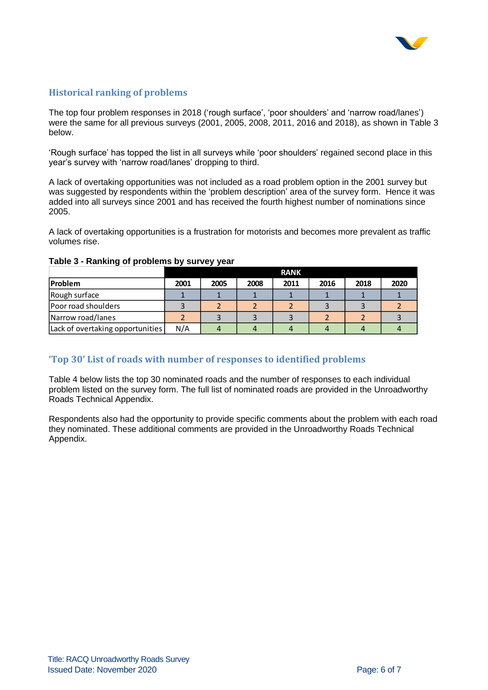

## **Historical ranking of problems**

The top four problem responses in 2018 ('rough surface', 'poor shoulders' and 'narrow road/lanes') were the same for all previous surveys (2001, 2005, 2008, 2011, 2016 and 2018), as shown in Table 3 below.

'Rough surface' has topped the list in all surveys while 'poor shoulders' regained second place in this year's survey with 'narrow road/lanes' dropping to third.

A lack of overtaking opportunities was not included as a road problem option in the 2001 survey but was suggested by respondents within the 'problem description' area of the survey form. Hence it was added into all surveys since 2001 and has received the fourth highest number of nominations since 2005.

A lack of overtaking opportunities is a frustration for motorists and becomes more prevalent as traffic volumes rise.

|                                  | <b>RANK</b> |      |      |      |      |      |      |  |  |  |  |  |
|----------------------------------|-------------|------|------|------|------|------|------|--|--|--|--|--|
| <b>Problem</b>                   | 2001        | 2005 | 2008 | 2011 | 2016 | 2018 | 2020 |  |  |  |  |  |
| Rough surface                    |             |      |      |      |      |      |      |  |  |  |  |  |
| Poor road shoulders              |             |      |      |      |      |      |      |  |  |  |  |  |
| Narrow road/lanes                |             |      |      |      |      |      |      |  |  |  |  |  |
| Lack of overtaking opportunities | N/A         |      |      |      |      |      |      |  |  |  |  |  |

#### **Table 3 - Ranking of problems by survey year**

### **'Top 30' List of roads with number of responses to identified problems**

Table 4 below lists the top 30 nominated roads and the number of responses to each individual problem listed on the survey form. The full list of nominated roads are provided in the Unroadworthy Roads Technical Appendix.

Respondents also had the opportunity to provide specific comments about the problem with each road they nominated. These additional comments are provided in the Unroadworthy Roads Technical Appendix.